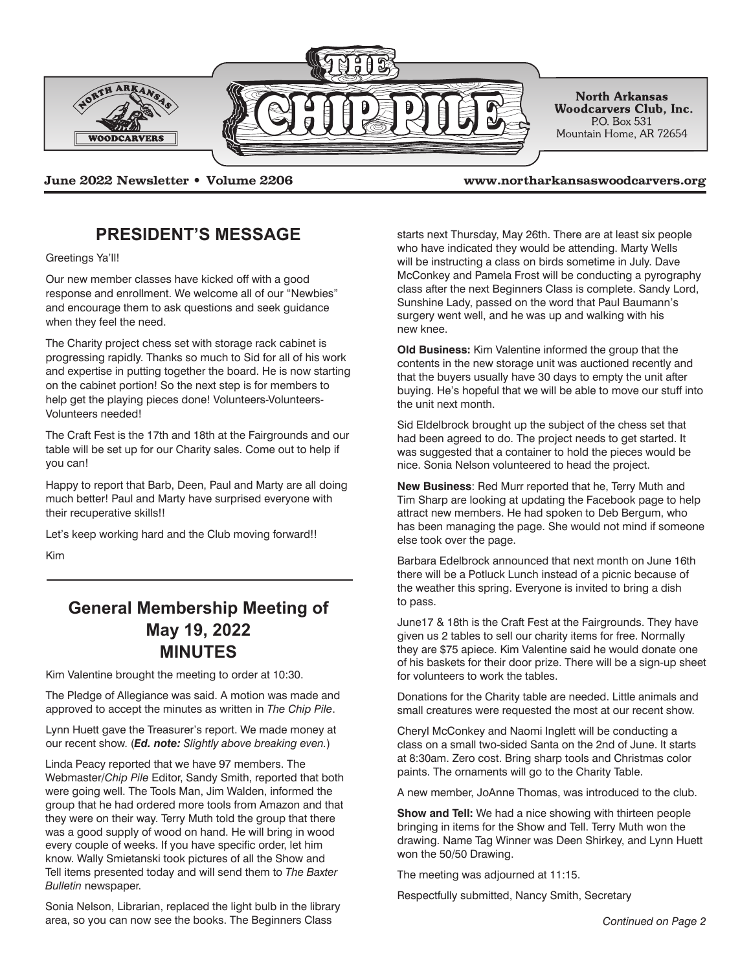

**June 2022 Newsletter • Volume 2206 www.northarkansaswoodcarvers.org**

## **PRESIDENT'S MESSAGE**

Greetings Ya'll!

Our new member classes have kicked off with a good response and enrollment. We welcome all of our "Newbies" and encourage them to ask questions and seek guidance when they feel the need.

The Charity project chess set with storage rack cabinet is progressing rapidly. Thanks so much to Sid for all of his work and expertise in putting together the board. He is now starting on the cabinet portion! So the next step is for members to help get the playing pieces done! Volunteers-Volunteers-Volunteers needed!

The Craft Fest is the 17th and 18th at the Fairgrounds and our table will be set up for our Charity sales. Come out to help if you can!

Happy to report that Barb, Deen, Paul and Marty are all doing much better! Paul and Marty have surprised everyone with their recuperative skills!!

Let's keep working hard and the Club moving forward!!

Kim

## **General Membership Meeting of May 19, 2022 MINUTES**

Kim Valentine brought the meeting to order at 10:30.

The Pledge of Allegiance was said. A motion was made and approved to accept the minutes as written in *The Chip Pile*.

Lynn Huett gave the Treasurer's report. We made money at our recent show. (*Ed. note: Slightly above breaking even.*)

Linda Peacy reported that we have 97 members. The Webmaster/*Chip Pile* Editor, Sandy Smith, reported that both were going well. The Tools Man, Jim Walden, informed the group that he had ordered more tools from Amazon and that they were on their way. Terry Muth told the group that there was a good supply of wood on hand. He will bring in wood every couple of weeks. If you have specific order, let him know. Wally Smietanski took pictures of all the Show and Tell items presented today and will send them to *The Baxter Bulletin* newspaper.

Sonia Nelson, Librarian, replaced the light bulb in the library area, so you can now see the books. The Beginners Class *Continued on Page 2*

starts next Thursday, May 26th. There are at least six people who have indicated they would be attending. Marty Wells will be instructing a class on birds sometime in July. Dave McConkey and Pamela Frost will be conducting a pyrography class after the next Beginners Class is complete. Sandy Lord, Sunshine Lady, passed on the word that Paul Baumann's surgery went well, and he was up and walking with his new knee.

**Old Business:** Kim Valentine informed the group that the contents in the new storage unit was auctioned recently and that the buyers usually have 30 days to empty the unit after buying. He's hopeful that we will be able to move our stuff into the unit next month.

Sid Eldelbrock brought up the subject of the chess set that had been agreed to do. The project needs to get started. It was suggested that a container to hold the pieces would be nice. Sonia Nelson volunteered to head the project.

**New Business**: Red Murr reported that he, Terry Muth and Tim Sharp are looking at updating the Facebook page to help attract new members. He had spoken to Deb Bergum, who has been managing the page. She would not mind if someone else took over the page.

Barbara Edelbrock announced that next month on June 16th there will be a Potluck Lunch instead of a picnic because of the weather this spring. Everyone is invited to bring a dish to pass.

June17 & 18th is the Craft Fest at the Fairgrounds. They have given us 2 tables to sell our charity items for free. Normally they are \$75 apiece. Kim Valentine said he would donate one of his baskets for their door prize. There will be a sign-up sheet for volunteers to work the tables.

Donations for the Charity table are needed. Little animals and small creatures were requested the most at our recent show.

Cheryl McConkey and Naomi Inglett will be conducting a class on a small two-sided Santa on the 2nd of June. It starts at 8:30am. Zero cost. Bring sharp tools and Christmas color paints. The ornaments will go to the Charity Table.

A new member, JoAnne Thomas, was introduced to the club.

**Show and Tell:** We had a nice showing with thirteen people bringing in items for the Show and Tell. Terry Muth won the drawing. Name Tag Winner was Deen Shirkey, and Lynn Huett won the 50/50 Drawing.

The meeting was adjourned at 11:15.

Respectfully submitted, Nancy Smith, Secretary